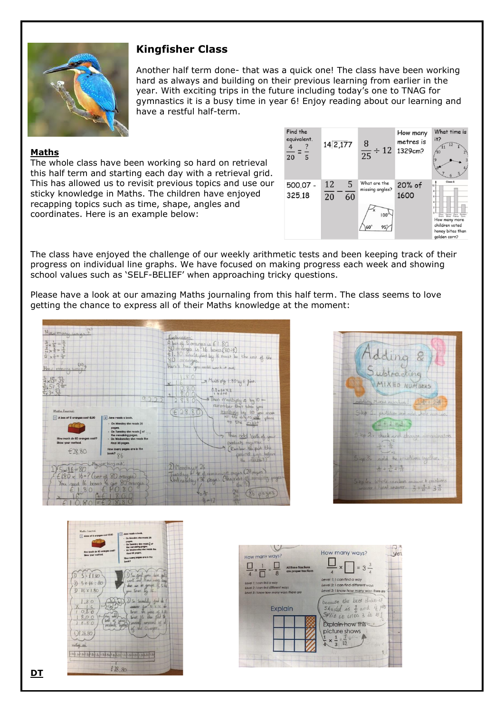

# **Kingfisher Class**

Another half term done- that was a quick one! The class have been working hard as always and building on their previous learning from earlier in the year. With exciting trips in the future including today's one to TNAG for gymnastics it is a busy time in year 6! Enjoy reading about our learning and have a restful half-term.

### **Maths**

The whole class have been working so hard on retrieval this half term and starting each day with a retrieval grid. This has allowed us to revisit previous topics and use our sticky knowledge in Maths. The children have enjoyed recapping topics such as time, shape, angles and coordinates. Here is an example below:



The class have enjoyed the challenge of our weekly arithmetic tests and been keeping track of their progress on individual line graphs. We have focused on making progress each week and showing school values such as 'SELF-BELIEF' when approaching tricky questions.

Please have a look at our amazing Maths journaling from this half term. The class seems to love getting the chance to express all of their Maths knowledge at the moment:







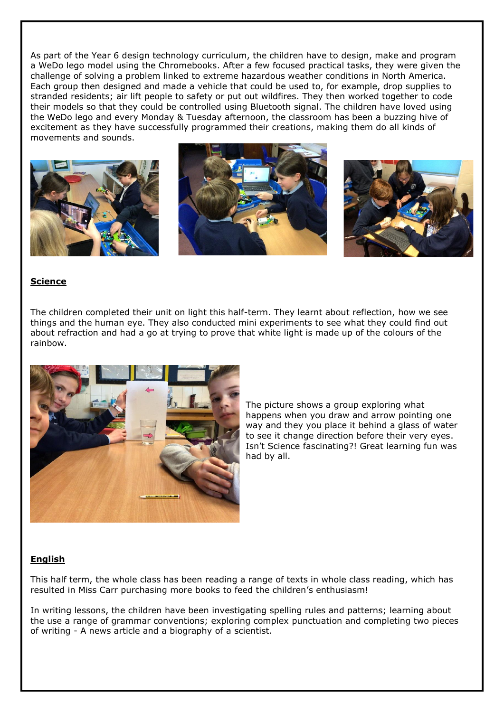As part of the Year 6 design technology curriculum, the children have to design, make and program a WeDo lego model using the Chromebooks. After a few focused practical tasks, they were given the challenge of solving a problem linked to extreme hazardous weather conditions in North America. Each group then designed and made a vehicle that could be used to, for example, drop supplies to stranded residents; air lift people to safety or put out wildfires. They then worked together to code their models so that they could be controlled using Bluetooth signal. The children have loved using the WeDo lego and every Monday & Tuesday afternoon, the classroom has been a buzzing hive of excitement as they have successfully programmed their creations, making them do all kinds of movements and sounds.



### **Science**

The children completed their unit on light this half-term. They learnt about reflection, how we see things and the human eye. They also conducted mini experiments to see what they could find out about refraction and had a go at trying to prove that white light is made up of the colours of the rainbow.



The picture shows a group exploring what happens when you draw and arrow pointing one way and they you place it behind a glass of water to see it change direction before their very eyes. Isn't Science fascinating?! Great learning fun was had by all.

### **English**

This half term, the whole class has been reading a range of texts in whole class reading, which has resulted in Miss Carr purchasing more books to feed the children's enthusiasm!

In writing lessons, the children have been investigating spelling rules and patterns; learning about the use a range of grammar conventions; exploring complex punctuation and completing two pieces of writing - A news article and a biography of a scientist.